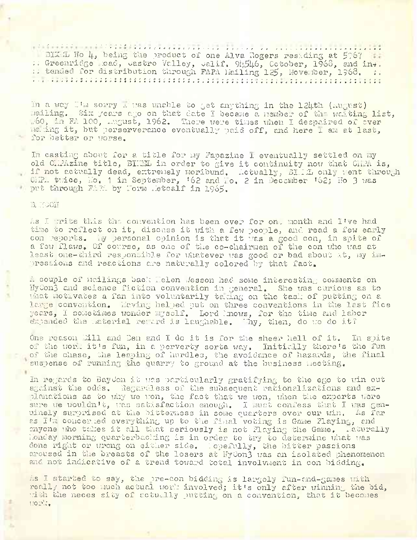<u>. In the set of the set of the set of the set of the set of the set of the set of the set of the set of the set of the set of the set of the set of the set of the set of the set of the set of the set of the set of the set</u> BIKE Ho 4, being the product of one Alva Rogers residing at 5067 11. : Greenridge bad, castro Valley, calif. 94546, Cotober, 1968, and in. :: tended for distribution through FAPA lailing 125, November, 1968. .. 

In a way I'm sorry I was unable to get anything in the 124th (August) mailing. Six years ago on that date I became a nember of the waiting list, "60, in FA 100, angust, 1962. There were times when I despaired of over me ing it, but perserverance eventually paid off, and here I am at last, for better or worse.

In casting about for a title for my Fapazine I eventually settled on my old Climaine title, BIEL in order to give it continuity now that CHPA is, if not actually dead, extremely moribund. Actually, BIIL only went through CiP. twice, No. 1 in September, '62 and No. 2 in December '62; No 3 was put through FARM by Form Metcalf in 1965.

## B. TOOH

As I write this the convention has been over for on, month and l've had time to reflect on it, discuss it with a few people, and read a few early con reports. By personal opinion is that it was a good con, in spite of a few flaws. Of course, as one of the co-chairmen of the con who was at least one-third responsible for whatever was good or bad about at, my impressions and reactions are naturally colored by that fact.

A couple of mailings back Helen Jesson had some interesting comments on MyCon3 and science fiction convention in general. She was curious as to that motivates a fan into voluntarily taking on the task of putting on a large convention. Having helped put on three conventions in the last fice years, I sometimes wonder mysolf. Lord mows, for the time and labor expended the Laterial retard is laughable. Thy, then, do to do it?

One reason Sill and Ben and I do it is for the sheer hell of it. In spite of the work it's fun, in a perverty sorta way. Initially there's the fun of the chase, the leaping of hurdles, the avoidance of hazards, the final suspense of running the quarry to ground at the business meeting.

In regards to Baydon it was particularly gratifying to the ego to win out against the odds. Regardless of the subsequent rationalizations and ex-<br>planations as to mhy we won, the fact that we won, when the experts dere sure we wouldn't, was satusfaction enough. I must confess that I was gen-<br>uinely surprised at the bitterness in some quarters over our win. As far as I'm concerned everything up to the final voting is Game Playing, and myone who takes it all that seriously is not Playing the Game. Laturally londay morning quarterbacking is in order to try to determine what was done right or urong on cither side. Topefully, the bitter passions aroused in the breasts of the losers at NyCon3 was an isolated phenomenon and not indicative of a trend toward total involvment in con bidding.

As I started to say, the pre-con bidding is largely fun-end-games with really not too much actual nor's involved; it's only after winning the bid, with the neces sity of actually putting on a convention, that it becomes **MORL.**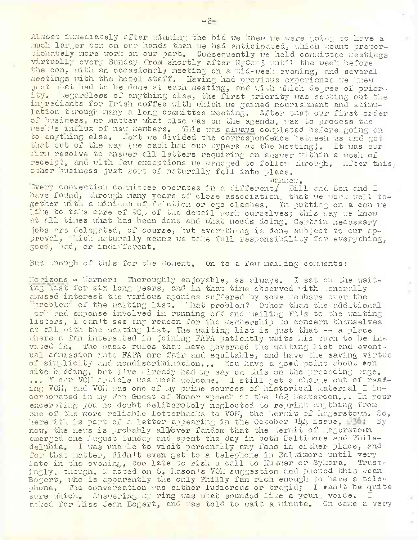Almost immediately after winning the bid we knew we were going to have a much larger con on our hands then we had anticipated, which meant proportionately more work on our part. Consequently we held committee meetings virtually every Sunday from shortly after NyCon3 until the week before the con, with an occasionaly meeting on a mid-week evening, and several meetings with the hotel staff. Having had previous experience we 'new just what nad to be done at each meeting, and with which degree of priority. .egardless of anything else, the first priority was setting out the ingredients for Irish coffee with which we gained nourishment and stimulation turough many a long committee meeting. After that our first order of business, no matter what clse was on the agenda, was to process the week's influx of new members. This was always completed before going on to anything else. Hext we divided the correspondence between us and got that out of the way (we each had our typers at the meeting). It was our farm resolve to answer all letters requiring an answer within a week of receipt, and with few exceptions we managed to follow through, witer this, other business just sort of naturally fell into place.

manner. .ivery convention committee operates in a. different/ Bill and Ben and I have found, through many years of close association, that we work well together with a minimum of friction or ego clashes. In putting on a con we lime to take care of 90, of the detail work ourselves; this way we know at all times what has been done and what needs doing. Certain necessary jobs are delegated, of course, but everything is done subject to our approval, thich naturally means we take full responsibility for everything, good, bad, or indifferent.

But enough of this for the moment. On to a few mailing comments:

Horizons - Harner: Thoroughly enjoyable, as always. I sat on the waiting list for six long years, and in that time observed with generally amused interest the various agonies suffered by some members over the "problem" of the waiting list, 'hat problem? Other than the additional work and expense involved in running off and mailing FA\*s to the waiting listers, <sup>I</sup> can't see any reason for the membership to concern themselves at all with the waiting list. The waiting list is just that  $-4$  a place where *a. fan* interested in joining FAPA patiently waits his turn to be invited in. The basic rules that have governed the waiting list and eventual admission into FAPA are fair and equitable, and have the saving virtue of simplicity and nondiscrimination,., You have a goed point about son site bidding, but I've already had my say on this on the preceding page, ... Y our V01I article was most welcome. <sup>I</sup> still get *a.* charge out of reading VOH, and VOH was one of :my prime sources of historical material I incorporated in my Fan Guest of Honor speech at the '62 Uestercon.,. In your excerpting you no doubt deliberately neglected to reprint anything from one of the more reliable letterhacks to VOH, the Hermit of Hagerstown, So, herewith is part of a letter appearing in the October 'LLL issue, B941 By now, the news is probably allover fandom that the Hermit of Hagerstown emerged one August Sunday and spent the day in both Baltimore and Philadelphia, I was unable to visit personally any fans in either place, and for that matter, didn't even get to *a. telephone* in Baltimore until very late in the evening, too late to risk a call to Kummer or Sykora. Trustingly, though, I acted on S, Eason's VOH suggestion and phoned this Jean Bogert, who is apparently the only Philly fan rich enough to have a telephone. The conversation was either ludicrous or tragid; I can't be quite sure which. Answering my ring was what sounded like a young voice. asked for Hiss Jean Bogert, and was told to wait a minute. On came a very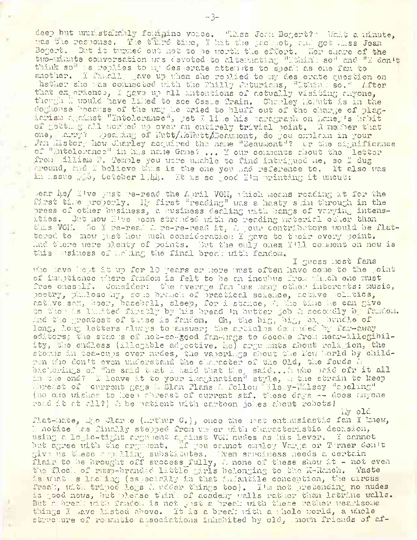deep but unimstakaly fomigine voice. "Liss Jem Bogert?" Uait a minute, mas the response. The third time, I hit the packpot, and got Alss Jean Bogert. But it turned out not to he worth the effort. Her share of the two-minute conversation was devoted to alternating "Ithink so" and "I don't think so" : s replies to my desperate atten its to speak as one fan to another. I finally gave up when she replied to my des erate question on hether she uas connected with the Philly Futurions, "Ithink so." After that experience, I gave up all intentions of actually visiting anyone, though I would have liked to see Ossie Train. Charley holatt is in the doghouse because of the way he tried to bluff out of the charge of plagiarism against "Intolerance", yet I like his paragraph on Laney's habit of getti g all worked up over an entirely trivial point. A member that one, larry? Bpearing of Iutt/liciutt/Boau mont, do you explain in your. Fan History how Charley acquired the name "Beaumont"? Or the significance of "Entolerance" in has name Game? ... I our comments about the letter from Lillian <sup>1</sup>?. Temple you wore unable to find intrigued me, so I dug around, and I believe thus is the one you had reference to. It also was in issue  $/6$ , October 1/4. It is so good I'm printing it uncut:

>ear lye/ I've Just re-read the April VOII, which means reading it for the first tire properly, liy first "reading" was a hasty skim through in the press of other business, a business dealing with bangs of varying intensities. But now I've boon stranded with no reading material other than this VOII, So I re-read 2 re-re-read it, 2 your contributors would be flattered to mow just how much consideration I gave to their every point. Ind there were plenty of points. But the only ones I'll comment on now is this business of and ing the final break with fandom.

I guess most fans who have kept it up for 10 years or more must often have come to the point of im'.ptionce where fandom is felt to be an incubus from uh:, ch one must free onesplf. Consider: the average fan has many other interests: music, poetry, philoso hy, some branch of practical science, active -olitics, active son, boer, baseball, sleep, for i stance, A the time he can give to them is limited firstly by his bread  $^{\rm th}$  butter Job & secondly by fandom. And the greatest of these is fandom. Oh, the big, big, big bundle of long, long letters always to answer; the articlos demanded by far-away editors' the stacks of not-so-good fan-mags to decode from near-illegibility, the endless (illegible adjective. he) arguments about religion, the storms in tea-cups over nudes, the vaporings about the llew Morld by children who don't even understand the character of the Old, the feuds  $\alpha$ bickerings of "he said t-.at I said that they said.,, i who paid ofr it all in the end? I leave it to your imagination" style, <1 the strain to keep abreast of - current gags - Slan Plans A follow bls y-Lilsey "spelmg" (no one wishes to keep chreast of current stf. these days -- does anyone read it at all?) A be patient with cartoon jokes about robots! liy old

flat-mate,  $A_{0}$ o Clarke (.rthur  $G_{*}$ ), once the most enthusiastic fan I knew, 1 notice has finally stepped from under thth characteristic decasion, using a logic-tight argument against VOII nudes as his lever. I cannot but agree with the argument, If you cannot employ Varga or Turner don't give ns these appalling substitutes, Liven sovciness needs *c.* certain flair to be brought off success\_fully, a none of these show it - not even the flock of rump-brand+d little girls belonging to the K-Ranch. Taste is what  $\Box$ s lacking (especially in that infantile conception, the circus freak, wit. tripod legs 2 udder things too). I'm not pretending no nudes is good nows, but please thin; of academy walls rather than latrine wells. But a break with fandom is not just a. break with these rather wearisome things I lave listed above. It is a break with a whole world, a whole structure of romantic associations inhabited by old, home friends of af-

-3-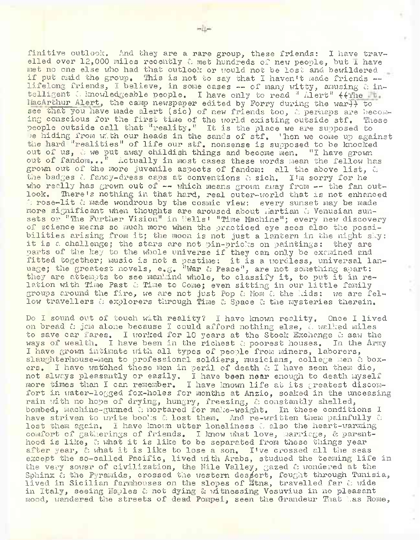finitive outlook. And they are a rare group, these friends: I have travelled over  $12,000$  miles recently  $\ell$  met hundreds of new people, but I have met no one else who had that outlook or would not be lost and bewildered if put amid the group. This is not to say that I haven't made friends -lifelong friends, I believe, in some cases -- of many witty, amusing & intelligent  $\therefore$  knowledgeable people. I have only to read " Alert"  $\left\{\text{The}\right\}$ MacArthur Alert, the camp newspaper edited by Forry during the war}} to see that you have made alert (sic) of new friends too, a perhaps are becoming conscious for the first time of the world existing outside stf. These people outside call that ''reality," It is the place we are supposed to *>e* hiding from with our heads in the sands of stf, then we come up against the hard "realities" of life our stf. nonsense is supposed to be knocked out of us,  $\circ$  we put away childish things and become men. "I have grown out of fandom,..<sup>It</sup> Actually in most cases these words mean the fellow has grown out of the more juvenile aspects of fandom: all the above list,  $\alpha$ the badges  $\lambda$  fancy-dress caps at conventions  $\lambda$  sich. I'm sorry for he who really has grown out of  $\rightarrow$  which means grown away from  $\rightarrow$  the fan out-<br>look. There's nothing in that hard, real outer-world that is not enhanced There's nothing in that hard, real outer-world that is not enhanced  $\hat{p}$  rose-lit  $\hat{a}$  made wondrous by the cosmic view: every sunset may be made more significant when thoughts are aroused about Martian & Venusian sunsets or "The Further Vision" in Wells' "Time Machine"; every new discovery of science means so much more when the practiced eye sees also the possibilities arising from it; the moon is not just a lantern in the night sky: it is a challenge; the stars are not pin-pricks on paintings: they are parts of the key to the whole universe if they can only be examined and fitted together; music is not a pastime: it is a wordless, universal lanuage; the greatest novels, e.g. "War  $c$  Peace", are not something apart: they are attempts to see mankind whole, to classify it, to put it in relation with Time Past & Time to Come; even sitting in our little family groups around the fire, we are not just Pop  $c$  Mom  $c$  the kids: we are fellow travellers a explorers through Time a Space a the mysteries therein.

Do I sound out of touch with reality? I have known reality. Once I lived on bread  $\hat{c}$  jam alone because I could afford nothing else,  $\hat{c}$  walked miles to save car fares. I worked for 10 years at the Stock Exchange  $\hat{c}$  saw the ways of wealth. I have been in the richest a poorest houses. In the Army I have grown intimate with all types of people from miners, laborers, slaughterhouse-men to professional soldiers, musicians, college men a boxers. I have watched these men in peril of death  $\alpha$  I have seen them die, not always pleasantly or easily. I have been near enough to death myself more times than I can remember, I have known life at its greatest discomfort in water-logged fox-holes for months at  $\texttt{Anzio}$ , soaked in the unceasing rain with no hope of drying, hungry, freezing,  $\ell$  constantly shelled, bombed, machine-gunned A mortared for make-weight. In these conditions I have striven to urite books  $\mathcal E$  lost them. And re-written them painfully  $\mathcal E$ lost them again. I have known utter loneliness A also the heart-warming comfort of gatherings of friends. I know what love, marriage, & parenthood is like, a what it is like to be separated from these things year after year,  $\alpha$  what it is like to lose a son. I've crossed all the seas except the so-called Pacific, lived with Arabs, studued the teaming life in the very sower of civilization, the Nile Valley, gazed a wondered at the Sphinx & the Pyramids, crossed the western dessert, fought through Tunisia, lived in Sicilian farmhouses on the slopes of Htna, travelled far a wide in Italy, seeing Naples & not dying & witnessing Vesuvius in no pleasant mood, wandered the streets of dead Pompei, seen the Grandeur That Las Rome,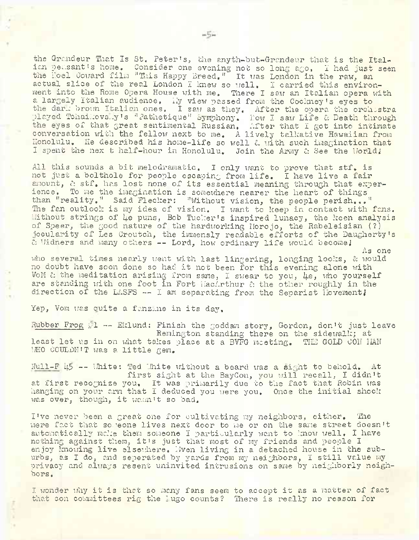the Grandeur That Is St. Peter's, the anyth-but-Grandeur that is the Italian peasant's home. Consider one evening not so long ago, I had just seen the Hoel Coward film "This Happy Breed." It was London in the raw, an actual slice of the real London I knew so well. I carried this environment into the Rome Opera House with me. There I saw an Italian opera with a largely Italian audience. My view passed from the Cockney's eyes to the darn brown Italian ones. I saw as they. After the opera the orchestra played Tchaikovsky's "Pathetique" Symphony, How I saw Life & Death through the eyes of that great sentimental Russian, After that I got into intimate conversation with the fellow next to me. A lively talkative Hawaiian from Honolulu. He described his home-life so well a with such imagination that I spent the nex t half-hour in Honolulu. Join the Army & See the World!

All this sounds a bit melodramatic. I only want to prove that stf. is not just a bolthole for people escaping from life, I have live a fair amount, a stf. has lost none of its essential meaning through that experience. To me the imagination is somewhere nearer the heart of things than "reality." Said Flecker: "Without vision, the people perish..." The fan outlook is my idea of vision. I want to keep in contact with fans. Without strings of *Le puns,* Bob Tucker's inspired lunacy, the keen analysis of Speer, the good nature of the hardworking Morojo, the Rabeleisian (?) jocularity of Les Croutch, the immensly readable efforts of the Daugherty's A Widners and many others -- Lord, how ordinary life would become <sup>J</sup> As one

who several times nearly went with last lingering, longing looks, & would no doubt have soon done so had it not been for this evening alone with VoM  $c$  the meditation arising from same, I swear to you,  $\mu e$ , who yourself are standing with one foot in Fort MacArthur & the other roughly in the direction of the LASFS  $\leftarrow$  I am separating from the Separist Hovement!

Yep, Vom was quite a fanzine in its day.

Rubber Frog 11 -- Eklund: Finish the goddam story, Gordon, don't just leave Remington standing there on the sidewalk; at least let us in on what takes place at a BVFG meeting. THE GOLD CON MAN MHO COULDN'T was a little gem.

 $Null-F$  45 -- White: Ted White without a beard was a sight to behold. At first sight at the BayCon, you will recall, I didn'<sup>t</sup> at first recognize you. It was primarily due to the fact that Robin was hanging on your arm that I deduced you were you. Once the initial shock was over, though, it wasn't so bad.

I've never been a great one for cultivating my neighbors, either. The mere fact that someone lives next door to me or on the same street doesn't automatically make them someone I particularly want to know well. I have nothing against them, it's just that most of my friends and people I enjoy Imowing live elsewhere. Even living in a detached house in the suburbs, as I do, and seperated by yards from my neighbors, I still value my privacy and always resent uninvited intrusions on same by neighborly neighbors,

I wonder thy it is that so many fans seem to accept it as a matter of fact that con committees rig the <sup>I</sup> ugo counts? There is really no reason for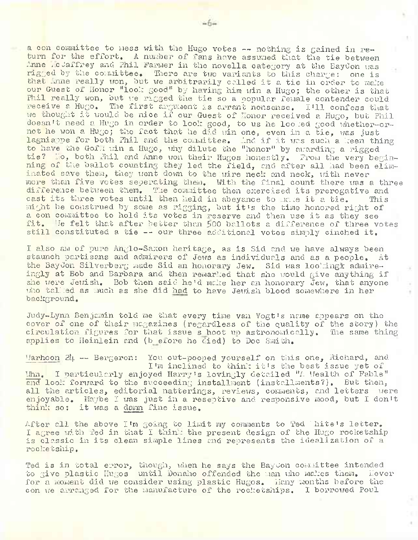a con committee to mess with the Hugo votes -- nothing is gained in return for the effort. A number of fans have assumed that the tie between Anne .cJaffrey and Phil Farmer in the novella category at the BayCon was rigged by the committee. There are two variants to this charge: one is that Anne really won, but we arbitrarily called it a tie in order to make our Guest of Honor "look good" by having him win a Hugo; the other is that Phil really won, but we rigged the tie so a popular female contender could receive a Hugo. The first argument is arrant nonsense, 1\*11 confess that we thought it would be nice if our Guest of Honor received a Hugo, but Phil doesn't need a Hugo in order to look good, to us he loomed good whether-ornot he won a Hugo; the fact that he did win one, even in a tie, was just lagniappe for both Phil and the committee. And if it was such a keen thing to have the Goffinin a Hugo, why dilute the "honor" by awarding a rigged tie? Ho, both Phil and Anne won their Hugos honestly. From the very beginning of the ballot counting they led the field, and after all had been eliminated save them, they went down to the wire neck and neck, with never more than five votes seperating them. With the final count there was a three difference between them. The committee then exercised its prerogative and cast its three votes until then held in abeyance to make it a tie. This might be construed by some as rigging, but it's the time honored right of a con committee to hold its votes in reserve and then use it as they see fit. He felt that after better than 500 ballots a difference of three votes still constituted a tie -- our three additional votes simply cinched it.

I also am of pure Anglo-Saxon heritage, as is Sid and we have always been staunch partisans and admirers of Jews as individuals and as a people. At the BayCon Silverberg made Sid an honorary Jew. Sid was lookingk admireingly at Bob and Barbara and then remarked that she would give anything if she were Jewish. Bob then said he'd make her an honorary Jew, that anyone who talked as much as she did had to have Jewish blood somewhere in her background.

Judy-Lynn Benjamin told me that every time van Vogt's name appears on the cover of one of their magazines (regardless of the quality of the story) the circulation figures for that issue s hoot up astronomically. The same thing applies to Heinlein and (b efore he died) to Doc Smith.

Marhoon  $2l_1 -$  Bergeron: You out-pooped yourself on this one, Richard, and I'm inclined to think it's the best issue yet of Whn, I particularly enjoyed Harry'<sup>s</sup> lovingly detailed "A Wealth of Fable" and look forward to the succeeding installment (installments?). But then, all the articles, editorial natterings, reviews, comments, and letters were enjoyable. Maybe I was just in a reseptive and responsive mood, but I don't think so: it was a damn fine issue.

After all the above I'm going to limit my comments to Ted ".hite's letter, I agree with Ted in that I thin: the present design of the Hugo rocketship is classic in its clean simple lines and represents the idealization of a rocketship.

Ted is in total error, though, when he says the BayCon committee intended to give plastic Hugos until Donaho offended the man who makes them. Hever for a moment did we consider using plastic Hugos. Hany months before the con we arranged for the manufacture of the rocketships. I borrowed Poul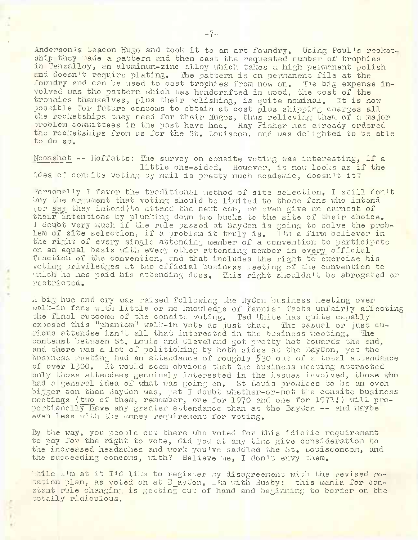Anderson's Seacon Hugo and took it to an art foundry. Using Poul's rocketship they made a pattern and then cast the requested number of trophies in Tenzalloy, an aluminum-zinc alloy which takes a high permanent polish and doesn't require plating. The pattern is on permanent file at the foundry and can be used to cast trophies from now on. The big expense involved was the pattern which was handcrafted in wood, the cost of the trophies themselves, plus their polishing, is quite nominal. It is now possible for future concoms to obtain at cost plus shipping charges all the rocketships they need for their Hugos, thus relieving them of a major problem committees in the past have had. Ray Fisher has already ordered the rocketships from us for the St. Louiscon, and was delighted to be able to do so.

Moonshot  $--$  Hoffatts: The survey on consite voting was interesting, if a little one-sided. However, it now looks as if the idea of consite voting by mail is pretty much academic, doesn't it?

.Personally I favor the traditional method of site selection, I still don't buy the argument that voting should be limited to those fans who intend (or say they intend) to attend the next con, or even give an earnest of their intentions by plunking down two bucks to the site of their choice. I doubt very much if the rule passed at BayCon is going to solve the problem of site selection, if a problem it truly is. I'm a firm believer in the right of every single attending member of a convention to participate on an equal basis with every other attending member in every official function of the convention, and that includes the right to exercise his voting priviledges at the official business meeting of the convention to which he has paid his attending dues. This right shouldn't be abrogated or restricted.

*A* big hue and cry was raised following the LTyCon business meeting over walk-in fans with little or no knowledge of fannish facts unfairly affecting the final outcome of the consite voting. Ted White has quite capably exposed this "phantom" walk-in vote as just that. The casual or just curious attendee isn't all that interested in the business meeting. The contenst between St. Louis and Cleveland got pretty hot towards the end, and there was a lot of politicking by both sides at the BayCon, yet the business meeting had an attendance of roughly 530 out of a total attendance of over 1300. It would seem obvious that the business meeting attracted only those attendees genuinely interested in the issues involved, those who had a general idea of what was going on, St Louis promises to be an even bigger con than BayCon was, yet I doubt whether-or-not the consite business meetings (tiro of them, remember, one for 1970 and one for 1971.') will proportianally have any greater attendance than at the BayJon -- and maybe even less with the money requirement for voting.

By the way, you people out there who voted for this idiotic requirement to pay for the right to vote, did you at any time give consideration to the increased headaches and work you've saddled the St. Louisconcom, and the succeeding concoms, with? Believe me, I don't envy them.

Thile I'm at it I'd like to register my disagreement with the revised rotation plan, as voted on at B\_ayCon. I'm with Busby: this mania for constant rule changing is getting out of hand and beginning to border on the totally ridiculous.

**■)**